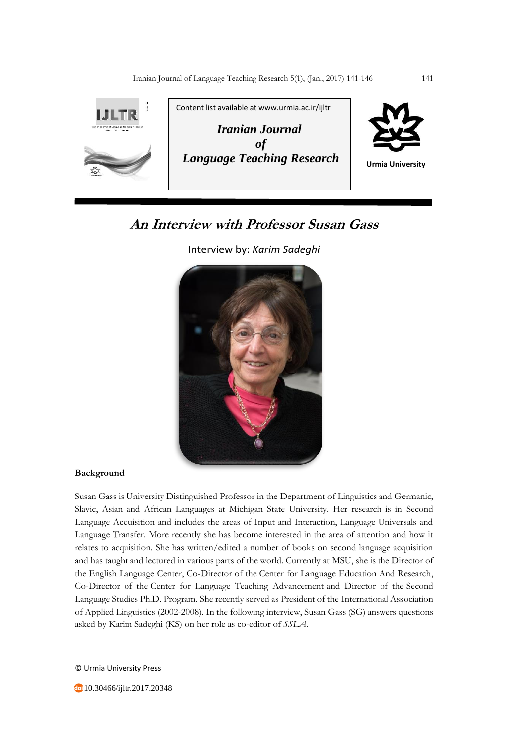

# **An Interview with Professor Susan Gass**

Interview by: *Karim Sadeghi*



## **Background**

Susan Gass is University Distinguished Professor in the Department of Linguistics and Germanic, Slavic, Asian and African Languages at Michigan State University. Her research is in Second Language Acquisition and includes the areas of Input and Interaction, Language Universals and Language Transfer. More recently she has become interested in the area of attention and how it relates to acquisition. She has written/edited a number of books on second language acquisition and has taught and lectured in various parts of the world. Currently at MSU, she is the Director of the English Language Center, Co-Director of the Center for Language Education And Research, Co-Director of the Center for Language Teaching Advancement and Director of the Second Language Studies Ph.D. Program. She recently served as President of the International Association of Applied Linguistics (2002-2008). In the following interview, Susan Gass (SG) answers questions asked by Karim Sadeghi (KS) on her role as co-editor of *SSLA*.

© Urmia University Press

10.30466/ijltr.2017.20348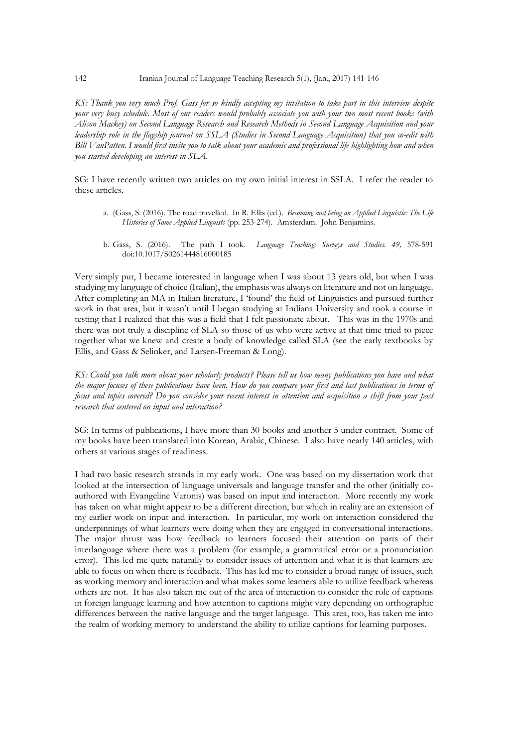*KS: Thank you very much Prof. Gass for so kindly accepting my invitation to take part in this interview despite your very busy schedule. Most of our readers would probably associate you with your two most recent books (with Alison Mackey) on Second Language Research and Research Methods in Second Language Acquisition and your leadership role in the flagship journal on SSLA (Studies in Second Language Acquisition) that you co-edit with Bill VanPatten. I would first invite you to talk about your academic and professional life highlighting how and when you started developing an interest in SLA.*

SG: I have recently written two articles on my own initial interest in SSLA. I refer the reader to these articles.

- a. (Gass, S. (2016). The road travelled. In R. Ellis (ed.). *Becoming and being an Applied Linguistic: The Life Histories of Some Applied Linguists* (pp. 253-274). Amsterdam. John Benjamins.
- b. Gass, S. (2016). The path I took. *Language Teaching: Surveys and Studies. 49,* 578-591 doi:10.1017/S0261444816000185

Very simply put, I became interested in language when I was about 13 years old, but when I was studying my language of choice (Italian), the emphasis was always on literature and not on language. After completing an MA in Italian literature, I 'found' the field of Linguistics and pursued further work in that area, but it wasn't until I began studying at Indiana University and took a course in testing that I realized that this was a field that I felt passionate about. This was in the 1970s and there was not truly a discipline of SLA so those of us who were active at that time tried to piece together what we knew and create a body of knowledge called SLA (see the early textbooks by Ellis, and Gass & Selinker, and Larsen-Freeman & Long).

*KS: Could you talk more about your scholarly products? Please tell us how many publications you have and what the major focuses of these publications have been. How do you compare your first and last publications in terms of focus and topics covered? Do you consider your recent interest in attention and acquisition a shift from your past research that centered on input and interaction?*

SG: In terms of publications, I have more than 30 books and another 5 under contract. Some of my books have been translated into Korean, Arabic, Chinese. I also have nearly 140 articles, with others at various stages of readiness.

I had two basic research strands in my early work. One was based on my dissertation work that looked at the intersection of language universals and language transfer and the other (initially coauthored with Evangeline Varonis) was based on input and interaction. More recently my work has taken on what might appear to be a different direction, but which in reality are an extension of my earlier work on input and interaction. In particular, my work on interaction considered the underpinnings of what learners were doing when they are engaged in conversational interactions. The major thrust was how feedback to learners focused their attention on parts of their interlanguage where there was a problem (for example, a grammatical error or a pronunciation error). This led me quite naturally to consider issues of attention and what it is that learners are able to focus on when there is feedback. This has led me to consider a broad range of issues, such as working memory and interaction and what makes some learners able to utilize feedback whereas others are not. It has also taken me out of the area of interaction to consider the role of captions in foreign language learning and how attention to captions might vary depending on orthographic differences between the native language and the target language. This area, too, has taken me into the realm of working memory to understand the ability to utilize captions for learning purposes.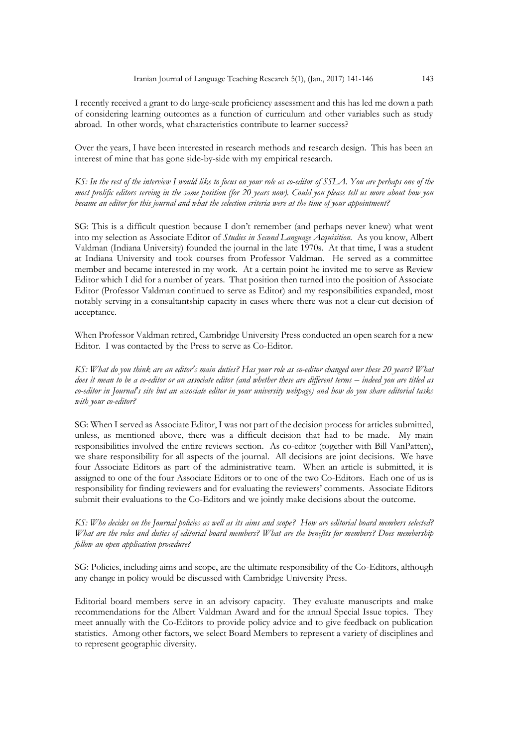I recently received a grant to do large-scale proficiency assessment and this has led me down a path of considering learning outcomes as a function of curriculum and other variables such as study abroad. In other words, what characteristics contribute to learner success?

Over the years, I have been interested in research methods and research design. This has been an interest of mine that has gone side-by-side with my empirical research.

*KS: In the rest of the interview I would like to focus on your role as co-editor of SSLA. You are perhaps one of the most prolific editors serving in the same position (for 20 years now). Could you please tell us more about how you became an editor for this journal and what the selection criteria were at the time of your appointment?* 

SG: This is a difficult question because I don't remember (and perhaps never knew) what went into my selection as Associate Editor of *Studies in Second Language Acquisition.* As you know, Albert Valdman (Indiana University) founded the journal in the late 1970s. At that time, I was a student at Indiana University and took courses from Professor Valdman. He served as a committee member and became interested in my work. At a certain point he invited me to serve as Review Editor which I did for a number of years. That position then turned into the position of Associate Editor (Professor Valdman continued to serve as Editor) and my responsibilities expanded, most notably serving in a consultantship capacity in cases where there was not a clear-cut decision of acceptance.

When Professor Valdman retired, Cambridge University Press conducted an open search for a new Editor. I was contacted by the Press to serve as Co-Editor.

*KS: What do you think are an editor's main duties? Has your role as co-editor changed over these 20 years? What does it mean to be a co-editor or an associate editor (and whether these are different terms – indeed you are titled as co-editor in Journal's site but an associate editor in your university webpage) and how do you share editorial tasks with your co-editor?*

SG: When I served as Associate Editor, I was not part of the decision process for articles submitted, unless, as mentioned above, there was a difficult decision that had to be made. My main responsibilities involved the entire reviews section. As co-editor (together with Bill VanPatten), we share responsibility for all aspects of the journal. All decisions are joint decisions. We have four Associate Editors as part of the administrative team. When an article is submitted, it is assigned to one of the four Associate Editors or to one of the two Co-Editors. Each one of us is responsibility for finding reviewers and for evaluating the reviewers' comments. Associate Editors submit their evaluations to the Co-Editors and we jointly make decisions about the outcome.

*KS: Who decides on the Journal policies as well as its aims and scope? How are editorial board members selected? What are the roles and duties of editorial board members? What are the benefits for members? Does membership follow an open application procedure?*

SG: Policies, including aims and scope, are the ultimate responsibility of the Co-Editors, although any change in policy would be discussed with Cambridge University Press.

Editorial board members serve in an advisory capacity. They evaluate manuscripts and make recommendations for the Albert Valdman Award and for the annual Special Issue topics. They meet annually with the Co-Editors to provide policy advice and to give feedback on publication statistics. Among other factors, we select Board Members to represent a variety of disciplines and to represent geographic diversity.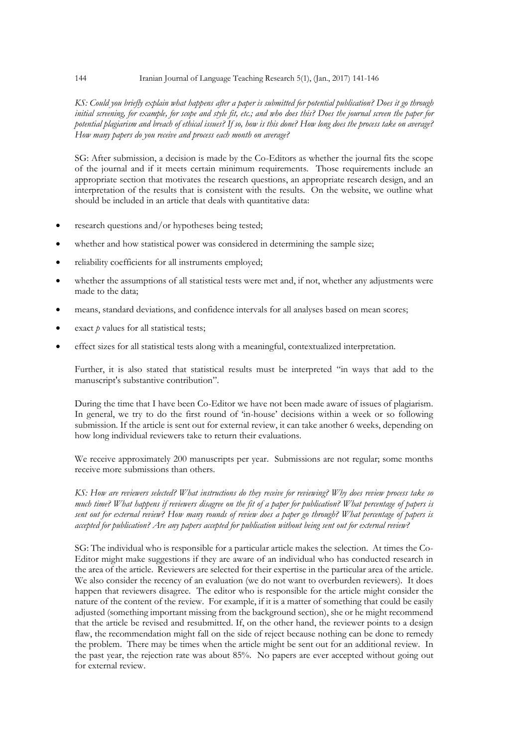#### 144 Iranian Journal of Language Teaching Research 5(1), (Jan., 2017) 141-146

*KS: Could you briefly explain what happens after a paper is submitted for potential publication? Does it go through initial screening, for example, for scope and style fit, etc.; and who does this? Does the journal screen the paper for potential plagiarism and breach of ethical issues? If so, how is this done? How long does the process take on average? How many papers do you receive and process each month on average?*

SG: After submission, a decision is made by the Co-Editors as whether the journal fits the scope of the journal and if it meets certain minimum requirements. Those requirements include an appropriate section that motivates the research questions, an appropriate research design, and an interpretation of the results that is consistent with the results. On the website, we outline what should be included in an article that deals with quantitative data:

- research questions and/or hypotheses being tested;
- whether and how statistical power was considered in determining the sample size;
- reliability coefficients for all instruments employed;
- whether the assumptions of all statistical tests were met and, if not, whether any adjustments were made to the data;
- means, standard deviations, and confidence intervals for all analyses based on mean scores;
- exact *p* values for all statistical tests;
- effect sizes for all statistical tests along with a meaningful, contextualized interpretation.

Further, it is also stated that statistical results must be interpreted "in ways that add to the manuscript's substantive contribution".

During the time that I have been Co-Editor we have not been made aware of issues of plagiarism. In general, we try to do the first round of 'in-house' decisions within a week or so following submission. If the article is sent out for external review, it can take another 6 weeks, depending on how long individual reviewers take to return their evaluations.

We receive approximately 200 manuscripts per year. Submissions are not regular; some months receive more submissions than others.

*KS: How are reviewers selected? What instructions do they receive for reviewing? Why does review process take so much time? What happens if reviewers disagree on the fit of a paper for publication? What percentage of papers is sent out for external review? How many rounds of review does a paper go through? What percentage of papers is accepted for publication? Are any papers accepted for publication without being sent out for external review?*

SG: The individual who is responsible for a particular article makes the selection. At times the Co-Editor might make suggestions if they are aware of an individual who has conducted research in the area of the article. Reviewers are selected for their expertise in the particular area of the article. We also consider the recency of an evaluation (we do not want to overburden reviewers). It does happen that reviewers disagree. The editor who is responsible for the article might consider the nature of the content of the review. For example, if it is a matter of something that could be easily adjusted (something important missing from the background section), she or he might recommend that the article be revised and resubmitted. If, on the other hand, the reviewer points to a design flaw, the recommendation might fall on the side of reject because nothing can be done to remedy the problem. There may be times when the article might be sent out for an additional review. In the past year, the rejection rate was about 85%. No papers are ever accepted without going out for external review.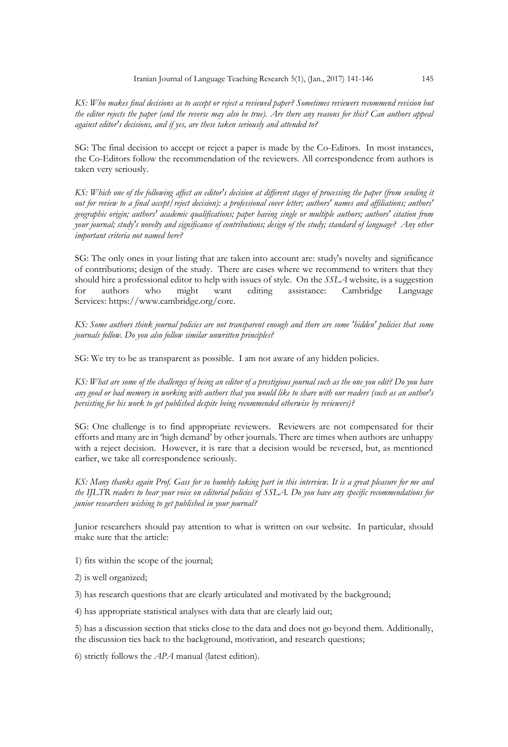*KS: Who makes final decisions as to accept or reject a reviewed paper? Sometimes reviewers recommend revision but the editor rejects the paper (and the reverse may also be true). Are there any reasons for this? Can authors appeal against editor's decisions, and if yes, are these taken seriously and attended to?*

SG: The final decision to accept or reject a paper is made by the Co-Editors. In most instances, the Co-Editors follow the recommendation of the reviewers. All correspondence from authors is taken very seriously.

*KS: Which one of the following affect an editor's decision at different stages of processing the paper (from sending it out for review to a final accept/reject decision): a professional cover letter; authors' names and affiliations; authors' geographic origin; authors' academic qualifications; paper having single or multiple authors; authors' citation from your journal; study's novelty and significance of contributions; design of the study; standard of language? Any other important criteria not named here?*

SG: The only ones in your listing that are taken into account are: study's novelty and significance of contributions; design of the study. There are cases where we recommend to writers that they should hire a professional editor to help with issues of style. On the *SSLA* website*,* is a suggestion for authors who might want editing assistance: Cambridge Language Services: https://www.cambridge.org/core.

*KS: Some authors think journal policies are not transparent enough and there are some 'hidden' policies that some journals follow. Do you also follow similar unwritten principles?*

SG: We try to be as transparent as possible. I am not aware of any hidden policies.

*KS: What are some of the challenges of being an editor of a prestigious journal such as the one you edit? Do you have any good or bad memory in working with authors that you would like to share with our readers (such as an author's persisting for his work to get published despite being recommended otherwise by reviewers)?* 

SG: One challenge is to find appropriate reviewers. Reviewers are not compensated for their efforts and many are in 'high demand' by other journals. There are times when authors are unhappy with a reject decision. However, it is rare that a decision would be reversed, but, as mentioned earlier, we take all correspondence seriously.

*KS: Many thanks again Prof. Gass for so humbly taking part in this interview. It is a great pleasure for me and the IJLTR readers to hear your voice on editorial policies of SSLA. Do you have any specific recommendations for junior researchers wishing to get published in your journal?*

Junior researchers should pay attention to what is written on our website. In particular, should make sure that the article:

1) fits within the scope of the journal;

2) is well organized;

3) has research questions that are clearly articulated and motivated by the background;

4) has appropriate statistical analyses with data that are clearly laid out;

5) has a discussion section that sticks close to the data and does not go beyond them. Additionally, the discussion ties back to the background, motivation, and research questions;

6) strictly follows the *APA* manual (latest edition).